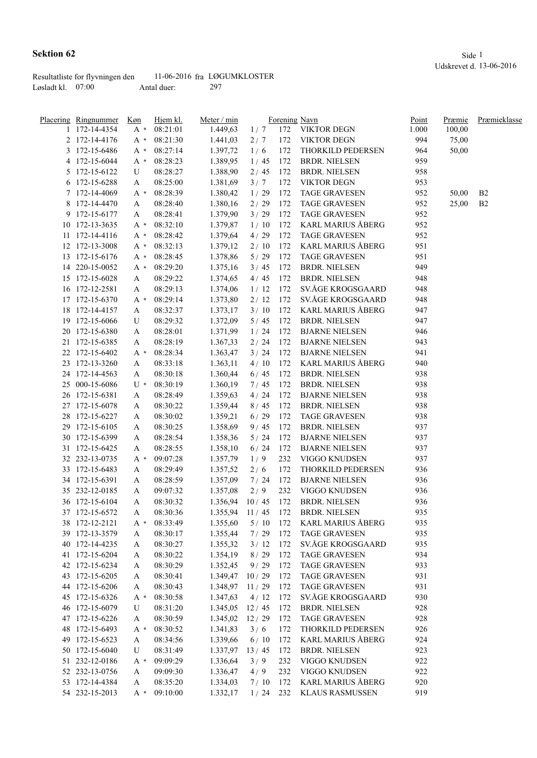| Resultatliste for flyvningen den |             | 11-06-2016 fra LØGUMKLOSTER |
|----------------------------------|-------------|-----------------------------|
| Løsladt kl. $07:00$              | Antal duer: | 297                         |

| <u>Placering Ringnummer Køn</u> |       | Hjem kl. | Meter / min |       |     | Forening Navn            | Point | Præmie | Præmieklasse   |
|---------------------------------|-------|----------|-------------|-------|-----|--------------------------|-------|--------|----------------|
| 1 172-14-4354                   | $A^*$ | 08:21:01 | 1.449,63    | 1/7   |     | 172 VIKTOR DEGN          | 1.000 | 100,00 |                |
| 2 172-14-4176                   | A *   | 08:21:30 | 1.441,03    | 2/7   | 172 | <b>VIKTOR DEGN</b>       | 994   | 75,00  |                |
| 3 172-15-6486                   | A *   | 08:27:14 | 1.397,72    | 1/6   | 172 | THORKILD PEDERSEN        | 964   | 50,00  |                |
| 4 172-15-6044                   | A *   | 08:28:23 | 1.389,95    | 1/45  | 172 | <b>BRDR. NIELSEN</b>     | 959   |        |                |
| 5 172-15-6122                   | U     | 08:28:27 | 1.388,90    | 2/45  | 172 | <b>BRDR. NIELSEN</b>     | 958   |        |                |
| 6 172-15-6288                   | A     | 08:25:00 | 1.381,69    | 3/7   | 172 | <b>VIKTOR DEGN</b>       | 953   |        |                |
| 7 172-14-4069                   | A *   | 08:28:39 | 1.380,42    | 1/29  | 172 | <b>TAGE GRAVESEN</b>     | 952   | 50,00  | B <sub>2</sub> |
| 8 172-14-4470                   | A     | 08:28:40 | 1.380,16    | 2/29  | 172 | <b>TAGE GRAVESEN</b>     | 952   | 25,00  | B <sub>2</sub> |
| 9 172-15-6177                   | A     | 08:28:41 | 1.379,90    | 3/29  | 172 | <b>TAGE GRAVESEN</b>     | 952   |        |                |
| 10 172-13-3635                  | A *   | 08:32:10 | 1.379,87    | 1/10  | 172 | KARL MARIUS ÅBERG        | 952   |        |                |
| 11 172-14-4116                  | A *   | 08:28:42 | 1.379,64    | 4/29  | 172 | <b>TAGE GRAVESEN</b>     | 952   |        |                |
| 12 172-13-3008                  | A *   | 08:32:13 | 1.379,12    | 2/10  | 172 | KARL MARIUS ÅBERG        | 951   |        |                |
| 13 172-15-6176                  | A *   | 08:28:45 | 1.378,86    | 5/29  | 172 | <b>TAGE GRAVESEN</b>     | 951   |        |                |
| 14 220-15-0052                  | A *   | 08:29:20 | 1.375,16    | 3/45  | 172 | <b>BRDR. NIELSEN</b>     | 949   |        |                |
| 15 172-15-6028                  | A     | 08:29:22 | 1.374,65    | 4/45  | 172 | <b>BRDR. NIELSEN</b>     | 948   |        |                |
| 16 172-12-2581                  | A     | 08:29:13 | 1.374,06    | 1/12  | 172 | SV.ÅGE KROGSGAARD        | 948   |        |                |
| 17 172-15-6370                  | A *   | 08:29:14 | 1.373,80    | 2/12  | 172 | SV.ÅGE KROGSGAARD        | 948   |        |                |
| 18 172-14-4157                  | A     | 08:32:37 | 1.373,17    | 3/10  | 172 | <b>KARL MARIUS ÅBERG</b> | 947   |        |                |
| 19 172-15-6066                  | U     | 08:29:32 | 1.372,09    | 5/45  | 172 | <b>BRDR. NIELSEN</b>     | 947   |        |                |
| 20 172-15-6380                  | A     | 08:28:01 | 1.371,99    | 1/24  | 172 | <b>BJARNE NIELSEN</b>    | 946   |        |                |
| 21 172-15-6385                  | A     | 08:28:19 | 1.367,33    | 2/24  | 172 | <b>BJARNE NIELSEN</b>    | 943   |        |                |
| 22 172-15-6402                  |       | 08:28:34 |             | 3/24  | 172 | <b>BJARNE NIELSEN</b>    | 941   |        |                |
|                                 | A *   |          | 1.363,47    |       |     |                          |       |        |                |
| 23 172-13-3260                  | A     | 08:33:18 | 1.363,11    | 4/10  | 172 | KARL MARIUS ÅBERG        | 940   |        |                |
| 24 172-14-4563                  | A     | 08:30:18 | 1.360,44    | 6/45  | 172 | <b>BRDR. NIELSEN</b>     | 938   |        |                |
| 25 000-15-6086                  | U *   | 08:30:19 | 1.360,19    | 7/45  | 172 | <b>BRDR. NIELSEN</b>     | 938   |        |                |
| 26 172-15-6381                  | A     | 08:28:49 | 1.359,63    | 4/24  | 172 | <b>BJARNE NIELSEN</b>    | 938   |        |                |
| 27 172-15-6078                  | A     | 08:30:22 | 1.359,44    | 8/45  | 172 | <b>BRDR. NIELSEN</b>     | 938   |        |                |
| 28 172-15-6227                  | A     | 08:30:02 | 1.359,21    | 6/29  | 172 | <b>TAGE GRAVESEN</b>     | 938   |        |                |
| 29 172-15-6105                  | A     | 08:30:25 | 1.358,69    | 9/45  | 172 | <b>BRDR. NIELSEN</b>     | 937   |        |                |
| 30 172-15-6399                  | A     | 08:28:54 | 1.358,36    | 5/24  | 172 | <b>BJARNE NIELSEN</b>    | 937   |        |                |
| 31 172-15-6425                  | A     | 08:28:55 | 1.358,10    | 6/24  | 172 | <b>BJARNE NIELSEN</b>    | 937   |        |                |
| 32 232-13-0735                  | A *   | 09:07:28 | 1.357,79    | 1/9   | 232 | VIGGO KNUDSEN            | 937   |        |                |
| 33 172-15-6483                  | A     | 08:29:49 | 1.357,52    | 2/6   | 172 | THORKILD PEDERSEN        | 936   |        |                |
| 34 172-15-6391                  | A     | 08:28:59 | 1.357,09    | 7/24  | 172 | <b>BJARNE NIELSEN</b>    | 936   |        |                |
| 35 232-12-0185                  | A     | 09:07:32 | 1.357,08    | 2/9   | 232 | VIGGO KNUDSEN            | 936   |        |                |
| 36 172-15-6104                  | A     | 08:30:32 | 1.356,94    | 10/45 | 172 | <b>BRDR. NIELSEN</b>     | 936   |        |                |
| 37 172-15-6572                  | A     | 08:30:36 | 1.355,94    | 11/45 | 172 | <b>BRDR. NIELSEN</b>     | 935   |        |                |
| 38 172-12-2121                  | A *   | 08:33:49 | 1.355,60    | 5/10  | 172 | <b>KARL MARIUS ÅBERG</b> | 935   |        |                |
| 39 172-13-3579                  | A     | 08:30:17 | 1.355,44    | 7/29  | 172 | <b>TAGE GRAVESEN</b>     | 935   |        |                |
| 40 172-14-4235                  | A     | 08:30:27 | 1.355,32    | 3/12  | 172 | SV.ÅGE KROGSGAARD        | 935   |        |                |
| 41 172-15-6204                  | A     | 08:30:22 | 1.354,19    | 8/29  | 172 | <b>TAGE GRAVESEN</b>     | 934   |        |                |
| 42 172-15-6234                  | A     | 08:30:29 | 1.352,45    | 9/29  | 172 | <b>TAGE GRAVESEN</b>     | 933   |        |                |
| 43 172-15-6205                  | A     | 08:30:41 | 1.349,47    | 10/29 | 172 | <b>TAGE GRAVESEN</b>     | 931   |        |                |
| 44 172-15-6206                  | A     | 08:30:43 | 1.348,97    | 11/29 | 172 | <b>TAGE GRAVESEN</b>     | 931   |        |                |
| 45 172-15-6326                  | $A^*$ | 08:30:58 | 1.347,63    | 4/12  | 172 | SV.ÅGE KROGSGAARD        | 930   |        |                |
| 46 172-15-6079                  | U     | 08:31:20 | 1.345,05    | 12/45 | 172 | <b>BRDR. NIELSEN</b>     | 928   |        |                |
| 47 172-15-6226                  | A     | 08:30:59 | 1.345,02    | 12/29 | 172 | <b>TAGE GRAVESEN</b>     | 928   |        |                |
| 48 172-15-6493                  | $A^*$ | 08:30:52 | 1.341,83    | 3/6   | 172 | THORKILD PEDERSEN        | 926   |        |                |
| 49 172-15-6523                  | A     | 08:34:56 | 1.339,66    | 6/10  | 172 | <b>KARL MARIUS ÅBERG</b> | 924   |        |                |
| 50 172-15-6040                  | U     | 08:31:49 | 1.337,97    | 13/45 | 172 | <b>BRDR. NIELSEN</b>     | 923   |        |                |
| 51 232-12-0186                  | A *   | 09:09:29 | 1.336,64    | 3/9   | 232 | VIGGO KNUDSEN            | 922   |        |                |
| 52 232-13-0756                  | A     | 09:09:30 | 1.336,47    | 4/9   | 232 | VIGGO KNUDSEN            | 922   |        |                |
| 53 172-14-4384                  | A     | 08:35:20 | 1.334,03    | 7/10  | 172 | <b>KARL MARIUS ÅBERG</b> | 920   |        |                |
| 54 232-15-2013                  | A *   | 09:10:00 | 1.332,17    | 1/24  | 232 | <b>KLAUS RASMUSSEN</b>   | 919   |        |                |
|                                 |       |          |             |       |     |                          |       |        |                |